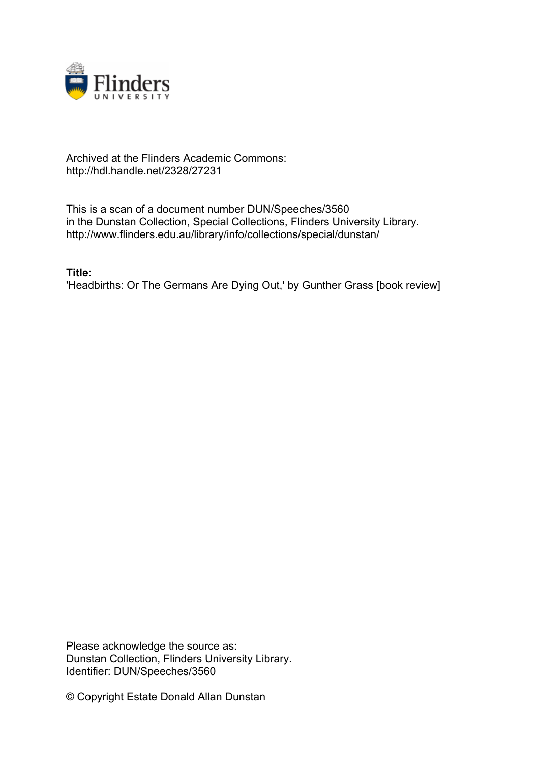

## Archived at the Flinders Academic Commons: http://hdl.handle.net/2328/27231

This is a scan of a document number DUN/Speeches/3560 in the Dunstan Collection, Special Collections, Flinders University Library. http://www.flinders.edu.au/library/info/collections/special/dunstan/

**Title:**

'Headbirths: Or The Germans Are Dying Out,' by Gunther Grass [book review]

Please acknowledge the source as: Dunstan Collection, Flinders University Library. Identifier: DUN/Speeches/3560

© Copyright Estate Donald Allan Dunstan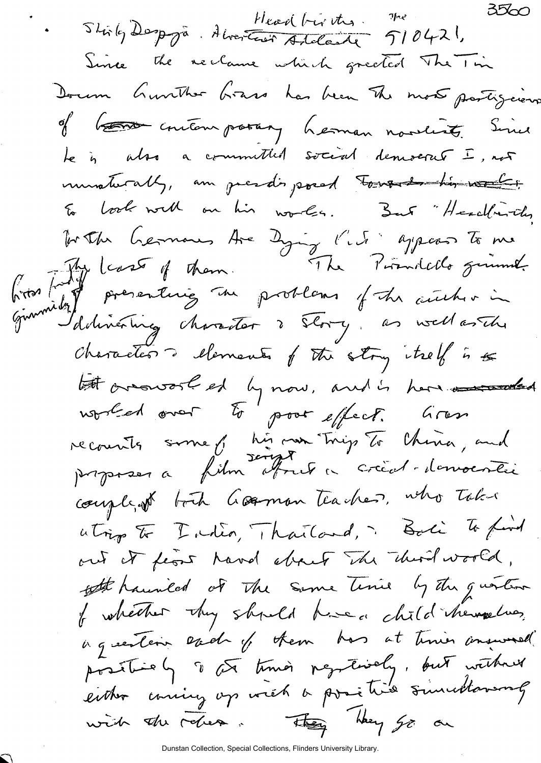$3500$ Stirley Despyra. Alvertist Addande 510421,  $7$  proposed Since the reclame which greeted The Time Dorom Gunther Grass has been The most partiguers of b<del>ens</del> contemposary herman novelist. Since te is also a committed social democrat I, not univaturally, an guesdo, posed tous de his works Eo book with on his works. But "Headfurth, To the German Are Dying l'est appear to me<br>first for least of them. The Pirmitals givent.<br>Given delivering character ? The os well arthur in Characters dements of the strong they is to let arousant et ly now, and is here are alled recounts some y his oan trigs To China, and couple of both Gorman teacher, who takes atrip to India, Thailand, Bali To find out it float hand about The third world, ofthe haunded of the Same Time by the question I whether they should have a child themselves, ing estern each of them has at times answered positively to the times populations, but without either coming op with a positive sincertaining with the reliefs. They go on

Dunstan Collection, Special Collections, Flinders University Library.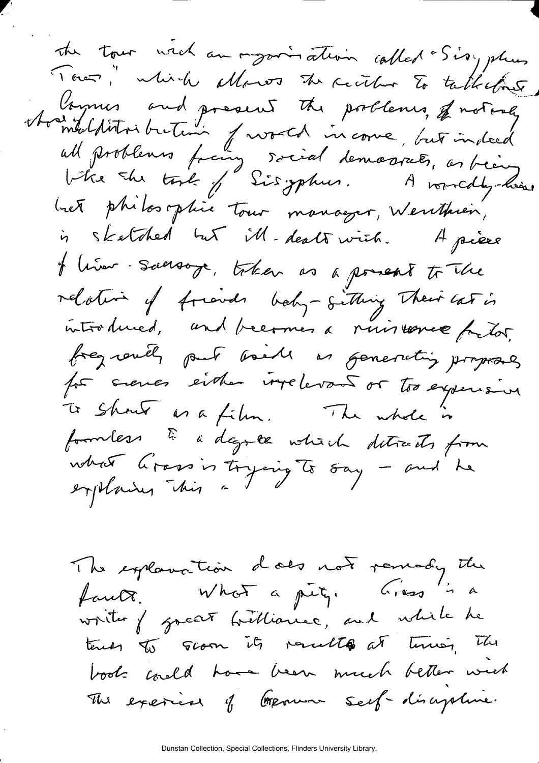the tour wich an organisation called "Sis, plus Town," which allows the circle to talketime Avenus and present the poolenes, of notare bet philosophie tour manager, Wenthien, is sketched but ill-dealswich. Apière f liver. Suersoye, token as a powert to the relative of friends baby-sithing Their cas is introduced, and becomes a nuissance fortor, frequently part boils as generating proposes for sienes either implevant or too experisive To show as a film. The whole is formless à dagree votiert ditreds from what Grass is trying to say - and he

The explanation does not remady the faut : What a pit, Grass 'i a writer of gocat brilliance, and while he tends to groom its results at times, The *fc-iM\*^ x^y-^tA \*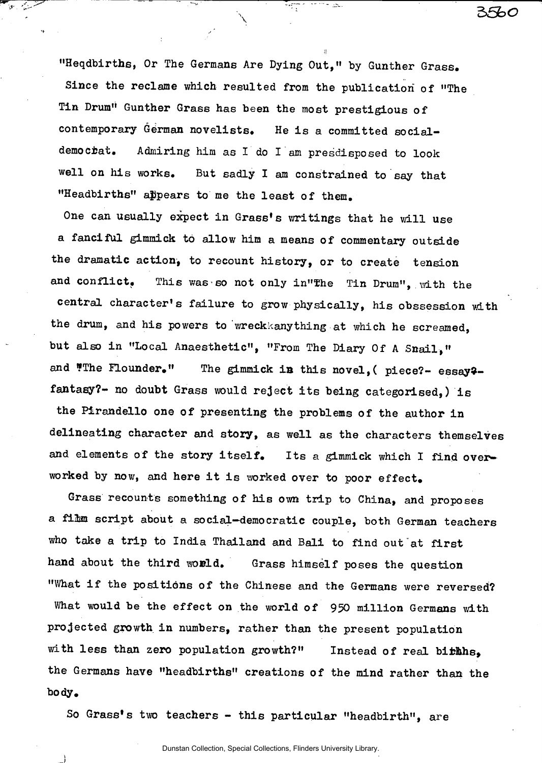**"Heqdbirths, Or The Germane Are Dying Out," by Gunther Grass. Since the reclame which resulted from the publication of "The Tin Drum" Gunther Grass has been the most prestigious of**  contemporary German novelists. He is a committed social**demociat. Admiring him as I do I am presdisposed to look**  well on his works. But sadly I am constrained to say that "Headbirths" appears to me the least of them.

العالميات

**5>5b o** 

**One can usually expect in Grass\*s writings that he will use a fanciful gimmick to allow him a means of commentary outside**  the dramatic action, to recount history, or to create tension and conflict. This was so not only in"The Tin Drum", with the central character's failure to grow physically, his obssession with the drum, and his powers to wreckkanything at which he screamed, **but also in "Local Anaesthetic", "From The Diary Of A Snail, "**  and **"The Flounder."** The gimmick in this novel, ( piece?- essay?**fantasy?- no doubt Grass would rejec t it s being categorised,) i s the Pirandello one of presenting the problems of the author in delineating character and story, as well as the character s themselves**  and elements of the story itself. Its a gimmick which I find overworked by now, and here it is worked over to poor effect.

Grass recounts something of his own trip to China, and proposes **a fiftm script about a social-democratic couple, both German teachers**  who take a trip to India Thailand and Bali to find out at first hand about the third world. Grass himself poses the question **"What i f the positions of the Chinese and the Germans were reversed?**  What would be the effect on the world of 950 million Germans with projected growth in numbers, rather than the present population with less than zero population growth?" Instead of real birthls, **the Germans have "headbirths" creations of the mind rather than the body.** 

So Grass's two teachers - this particular "headbirth", are

Dunstan Collection, Special Collections, Flinders University Library.